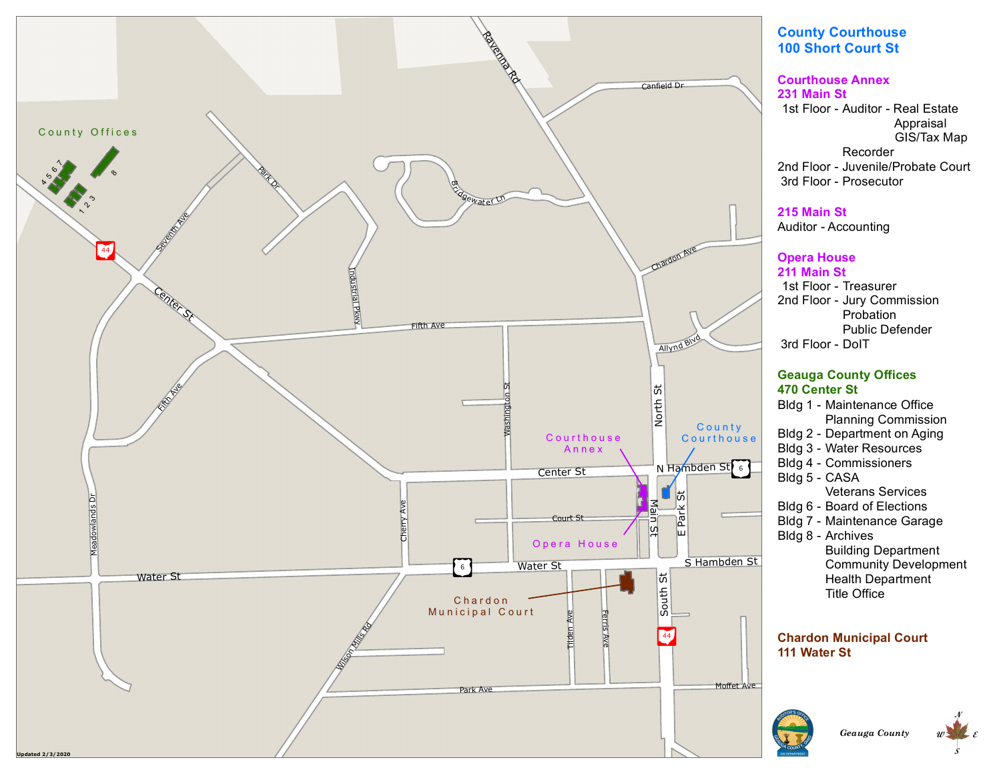

# **C o u n t y C o u rt h o u s e** 100 Short Court St

#### **Courthouse Annex 2 3 1 M a i n S t**

1st Floor - Auditor - Real Estate 2nd Floor - Juvenile/Probate Court 3rd Floor - Prosecutor Appraisal GIS/Tax Map Recorder

#### **2 1 5 M a i n S t**

Auditor - Accounting

### **Opera House**

**2 1 1 M a i n S t** 1st Floor - Treasurer 2nd Floor - Jury Commission 3rd Floor - DoIT Probation Public Defender

### **Geauga County Offices 4 7 0 C e n t e r S t**

- Bldg 1 Maintenance Office Planning Commission
- Bldg 2 Department on Aging
- Bldg 3 Water Resources
- Bldg 4 Commissioners
- Bldg 5 CASA Veterans Services
- Bldg 6 Board of Elections
- Bldg 7 Maintenance Garage
- Bldg 8 Archives **Building Department** Community Development Health Department Title Office

## **Chardon Municipal Court 111 Water St**